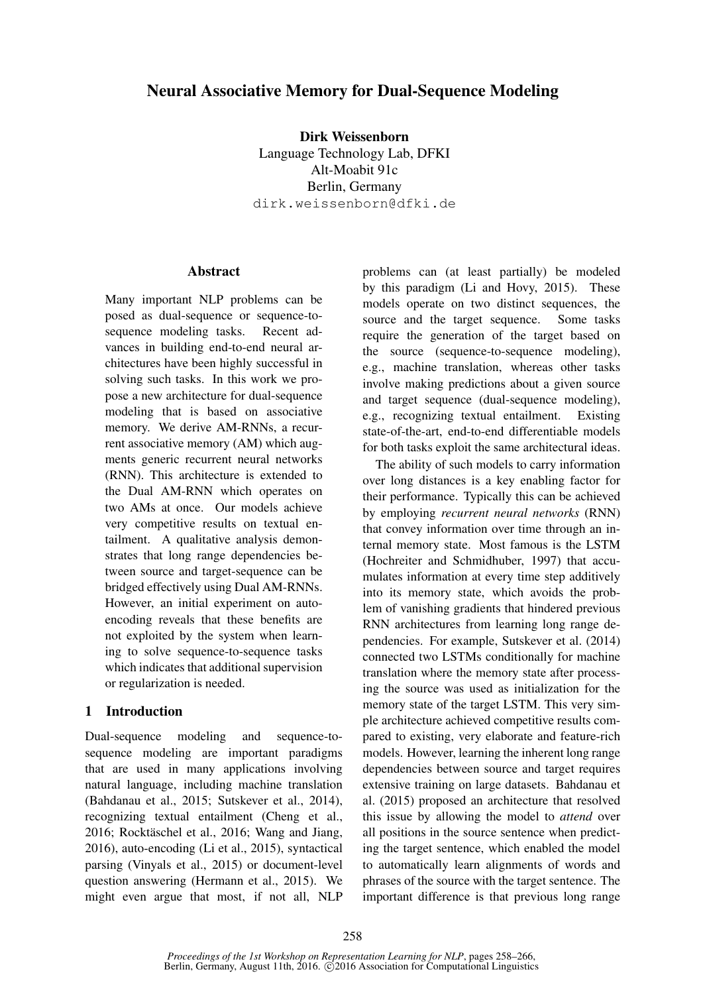# Neural Associative Memory for Dual-Sequence Modeling

Dirk Weissenborn Language Technology Lab, DFKI Alt-Moabit 91c Berlin, Germany dirk.weissenborn@dfki.de

# **Abstract**

Many important NLP problems can be posed as dual-sequence or sequence-tosequence modeling tasks. Recent advances in building end-to-end neural architectures have been highly successful in solving such tasks. In this work we propose a new architecture for dual-sequence modeling that is based on associative memory. We derive AM-RNNs, a recurrent associative memory (AM) which augments generic recurrent neural networks (RNN). This architecture is extended to the Dual AM-RNN which operates on two AMs at once. Our models achieve very competitive results on textual entailment. A qualitative analysis demonstrates that long range dependencies between source and target-sequence can be bridged effectively using Dual AM-RNNs. However, an initial experiment on autoencoding reveals that these benefits are not exploited by the system when learning to solve sequence-to-sequence tasks which indicates that additional supervision or regularization is needed.

### 1 Introduction

Dual-sequence modeling and sequence-tosequence modeling are important paradigms that are used in many applications involving natural language, including machine translation (Bahdanau et al., 2015; Sutskever et al., 2014), recognizing textual entailment (Cheng et al., 2016; Rocktäschel et al., 2016; Wang and Jiang, 2016), auto-encoding (Li et al., 2015), syntactical parsing (Vinyals et al., 2015) or document-level question answering (Hermann et al., 2015). We might even argue that most, if not all, NLP problems can (at least partially) be modeled by this paradigm (Li and Hovy, 2015). These models operate on two distinct sequences, the source and the target sequence. Some tasks require the generation of the target based on the source (sequence-to-sequence modeling), e.g., machine translation, whereas other tasks involve making predictions about a given source and target sequence (dual-sequence modeling), e.g., recognizing textual entailment. Existing state-of-the-art, end-to-end differentiable models for both tasks exploit the same architectural ideas.

The ability of such models to carry information over long distances is a key enabling factor for their performance. Typically this can be achieved by employing *recurrent neural networks* (RNN) that convey information over time through an internal memory state. Most famous is the LSTM (Hochreiter and Schmidhuber, 1997) that accumulates information at every time step additively into its memory state, which avoids the problem of vanishing gradients that hindered previous RNN architectures from learning long range dependencies. For example, Sutskever et al. (2014) connected two LSTMs conditionally for machine translation where the memory state after processing the source was used as initialization for the memory state of the target LSTM. This very simple architecture achieved competitive results compared to existing, very elaborate and feature-rich models. However, learning the inherent long range dependencies between source and target requires extensive training on large datasets. Bahdanau et al. (2015) proposed an architecture that resolved this issue by allowing the model to *attend* over all positions in the source sentence when predicting the target sentence, which enabled the model to automatically learn alignments of words and phrases of the source with the target sentence. The important difference is that previous long range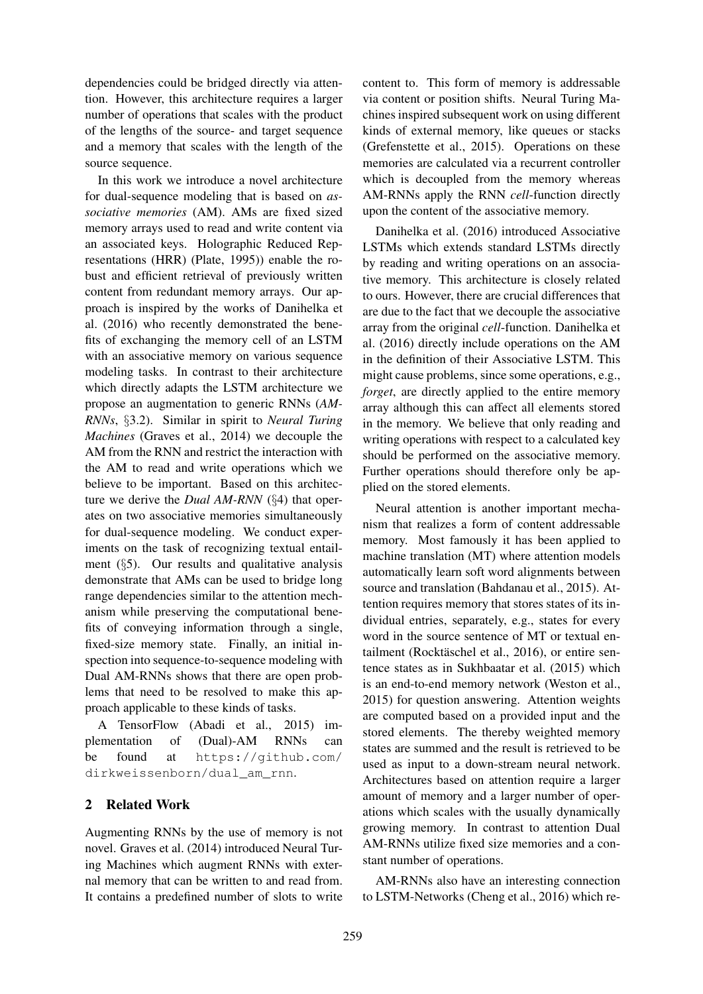dependencies could be bridged directly via attention. However, this architecture requires a larger number of operations that scales with the product of the lengths of the source- and target sequence and a memory that scales with the length of the source sequence.

In this work we introduce a novel architecture for dual-sequence modeling that is based on *associative memories* (AM). AMs are fixed sized memory arrays used to read and write content via an associated keys. Holographic Reduced Representations (HRR) (Plate, 1995)) enable the robust and efficient retrieval of previously written content from redundant memory arrays. Our approach is inspired by the works of Danihelka et al. (2016) who recently demonstrated the benefits of exchanging the memory cell of an LSTM with an associative memory on various sequence modeling tasks. In contrast to their architecture which directly adapts the LSTM architecture we propose an augmentation to generic RNNs (*AM-RNNs*, §3.2). Similar in spirit to *Neural Turing Machines* (Graves et al., 2014) we decouple the AM from the RNN and restrict the interaction with the AM to read and write operations which we believe to be important. Based on this architecture we derive the *Dual AM-RNN* (§4) that operates on two associative memories simultaneously for dual-sequence modeling. We conduct experiments on the task of recognizing textual entailment (§5). Our results and qualitative analysis demonstrate that AMs can be used to bridge long range dependencies similar to the attention mechanism while preserving the computational benefits of conveying information through a single, fixed-size memory state. Finally, an initial inspection into sequence-to-sequence modeling with Dual AM-RNNs shows that there are open problems that need to be resolved to make this approach applicable to these kinds of tasks.

A TensorFlow (Abadi et al., 2015) implementation of (Dual)-AM RNNs can be found at https://github.com/ dirkweissenborn/dual\_am\_rnn.

# 2 Related Work

Augmenting RNNs by the use of memory is not novel. Graves et al. (2014) introduced Neural Turing Machines which augment RNNs with external memory that can be written to and read from. It contains a predefined number of slots to write

content to. This form of memory is addressable via content or position shifts. Neural Turing Machines inspired subsequent work on using different kinds of external memory, like queues or stacks (Grefenstette et al., 2015). Operations on these memories are calculated via a recurrent controller which is decoupled from the memory whereas AM-RNNs apply the RNN *cell*-function directly upon the content of the associative memory.

Danihelka et al. (2016) introduced Associative LSTMs which extends standard LSTMs directly by reading and writing operations on an associative memory. This architecture is closely related to ours. However, there are crucial differences that are due to the fact that we decouple the associative array from the original *cell*-function. Danihelka et al. (2016) directly include operations on the AM in the definition of their Associative LSTM. This might cause problems, since some operations, e.g., *forget*, are directly applied to the entire memory array although this can affect all elements stored in the memory. We believe that only reading and writing operations with respect to a calculated key should be performed on the associative memory. Further operations should therefore only be applied on the stored elements.

Neural attention is another important mechanism that realizes a form of content addressable memory. Most famously it has been applied to machine translation (MT) where attention models automatically learn soft word alignments between source and translation (Bahdanau et al., 2015). Attention requires memory that stores states of its individual entries, separately, e.g., states for every word in the source sentence of MT or textual entailment (Rocktäschel et al., 2016), or entire sentence states as in Sukhbaatar et al. (2015) which is an end-to-end memory network (Weston et al., 2015) for question answering. Attention weights are computed based on a provided input and the stored elements. The thereby weighted memory states are summed and the result is retrieved to be used as input to a down-stream neural network. Architectures based on attention require a larger amount of memory and a larger number of operations which scales with the usually dynamically growing memory. In contrast to attention Dual AM-RNNs utilize fixed size memories and a constant number of operations.

AM-RNNs also have an interesting connection to LSTM-Networks (Cheng et al., 2016) which re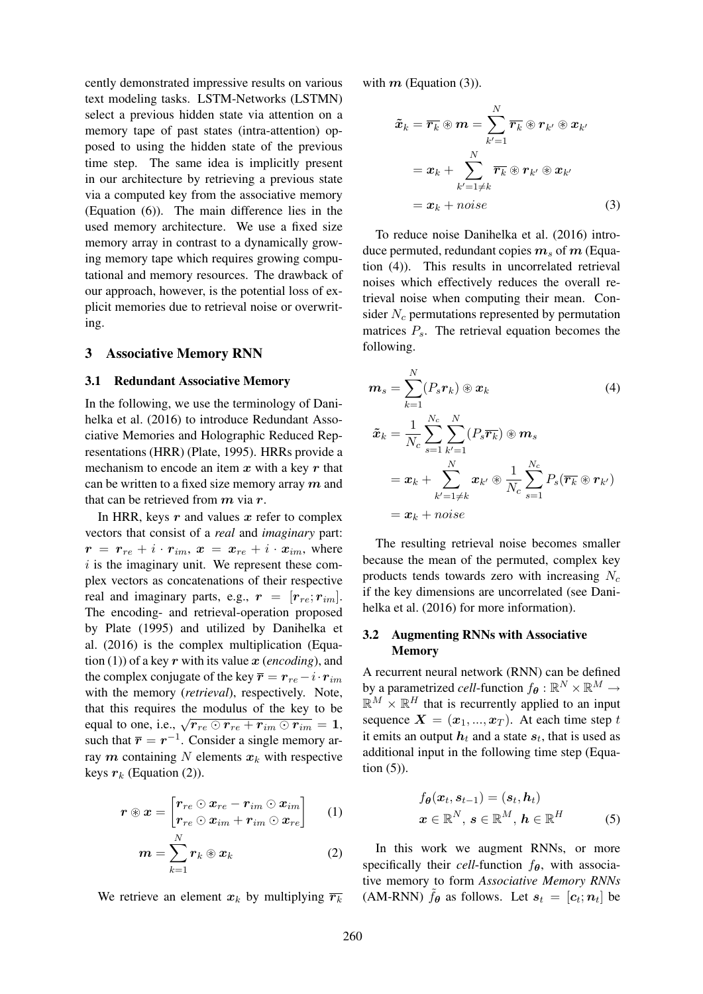cently demonstrated impressive results on various text modeling tasks. LSTM-Networks (LSTMN) select a previous hidden state via attention on a memory tape of past states (intra-attention) opposed to using the hidden state of the previous time step. The same idea is implicitly present in our architecture by retrieving a previous state via a computed key from the associative memory (Equation (6)). The main difference lies in the used memory architecture. We use a fixed size memory array in contrast to a dynamically growing memory tape which requires growing computational and memory resources. The drawback of our approach, however, is the potential loss of explicit memories due to retrieval noise or overwriting.

### 3 Associative Memory RNN

#### 3.1 Redundant Associative Memory

In the following, we use the terminology of Danihelka et al. (2016) to introduce Redundant Associative Memories and Holographic Reduced Representations (HRR) (Plate, 1995). HRRs provide a mechanism to encode an item  $x$  with a key  $r$  that can be written to a fixed size memory array  $m$  and that can be retrieved from  $m$  via  $r$ .

In HRR, keys  $r$  and values  $x$  refer to complex vectors that consist of a *real* and *imaginary* part:  $r = r_{re} + i \cdot r_{im}, x = x_{re} + i \cdot x_{im}$ , where  $i$  is the imaginary unit. We represent these complex vectors as concatenations of their respective real and imaginary parts, e.g.,  $r = [r_{re}; r_{im}]$ . The encoding- and retrieval-operation proposed by Plate (1995) and utilized by Danihelka et al. (2016) is the complex multiplication (Equation (1)) of a key  $r$  with its value  $x$  (*encoding*), and the complex conjugate of the key  $\bar{r} = r_{re} - i \cdot r_{im}$ with the memory (*retrieval*), respectively. Note, that this requires the modulus of the key to be equal to one, i.e.,  $\sqrt{r_{re} \odot r_{re} + r_{im} \odot r_{im}} = 1$ , such that  $\bar{r} = r^{-1}$ . Consider a single memory array m containing N elements  $x_k$  with respective keys  $r_k$  (Equation (2)).

$$
\boldsymbol{r} \circledast \boldsymbol{x} = \begin{bmatrix} \boldsymbol{r}_{re} \odot \boldsymbol{x}_{re} - \boldsymbol{r}_{im} \odot \boldsymbol{x}_{im} \\ \boldsymbol{r}_{re} \odot \boldsymbol{x}_{im} + \boldsymbol{r}_{im} \odot \boldsymbol{x}_{re} \end{bmatrix} \qquad (1)
$$

$$
\boldsymbol{m} = \sum_{k=1}^N \boldsymbol{r}_k \circledast \boldsymbol{x}_k \tag{2}
$$

We retrieve an element  $x_k$  by multiplying  $\overline{r_k}$ 

with  $m$  (Equation (3)).

$$
\tilde{x}_k = \overline{r_k} \circledast m = \sum_{k'=1}^N \overline{r_k} \circledast r_{k'} \circledast x_{k'}
$$
\n
$$
= x_k + \sum_{k'=1 \neq k}^N \overline{r_k} \circledast r_{k'} \circledast x_{k'}
$$
\n
$$
= x_k + noise \qquad (3)
$$

To reduce noise Danihelka et al. (2016) introduce permuted, redundant copies  $m_s$  of m (Equation (4)). This results in uncorrelated retrieval noises which effectively reduces the overall retrieval noise when computing their mean. Consider  $N_c$  permutations represented by permutation matrices  $P_s$ . The retrieval equation becomes the following.

$$
\boldsymbol{m}_{s} = \sum_{k=1}^{N} (P_{s} \boldsymbol{r}_{k}) \circledast \boldsymbol{x}_{k} \qquad (4)
$$
\n
$$
\tilde{\boldsymbol{x}}_{k} = \frac{1}{N_{c}} \sum_{s=1}^{N_{c}} \sum_{k'=1}^{N} (P_{s} \overline{\boldsymbol{r}_{k}}) \circledast \boldsymbol{m}_{s}
$$
\n
$$
= \boldsymbol{x}_{k} + \sum_{k'=1 \neq k}^{N} \boldsymbol{x}_{k'} \circledast \frac{1}{N_{c}} \sum_{s=1}^{N_{c}} P_{s} (\overline{\boldsymbol{r}_{k}} \circledast \boldsymbol{r}_{k'})
$$
\n
$$
= \boldsymbol{x}_{k} + noise
$$

The resulting retrieval noise becomes smaller because the mean of the permuted, complex key products tends towards zero with increasing  $N_c$ if the key dimensions are uncorrelated (see Danihelka et al. (2016) for more information).

### 3.2 Augmenting RNNs with Associative **Memory**

A recurrent neural network (RNN) can be defined by a parametrized *cell*-function  $f_{\theta} : \mathbb{R}^N \times \mathbb{R}^M \to$  $\mathbb{R}^M \times \mathbb{R}^H$  that is recurrently applied to an input sequence  $X = (x_1, ..., x_T)$ . At each time step t it emits an output  $h_t$  and a state  $s_t$ , that is used as additional input in the following time step (Equation (5)).

$$
f_{\boldsymbol{\theta}}(\boldsymbol{x}_t, \boldsymbol{s}_{t-1}) = (\boldsymbol{s}_t, \boldsymbol{h}_t)
$$
  

$$
\boldsymbol{x} \in \mathbb{R}^N, \, \boldsymbol{s} \in \mathbb{R}^M, \, \boldsymbol{h} \in \mathbb{R}^H
$$
 (5)

In this work we augment RNNs, or more specifically their *cell*-function  $f_{\theta}$ , with associative memory to form *Associative Memory RNNs* (AM-RNN)  $\tilde{f}_{\theta}$  as follows. Let  $s_t = [c_t; n_t]$  be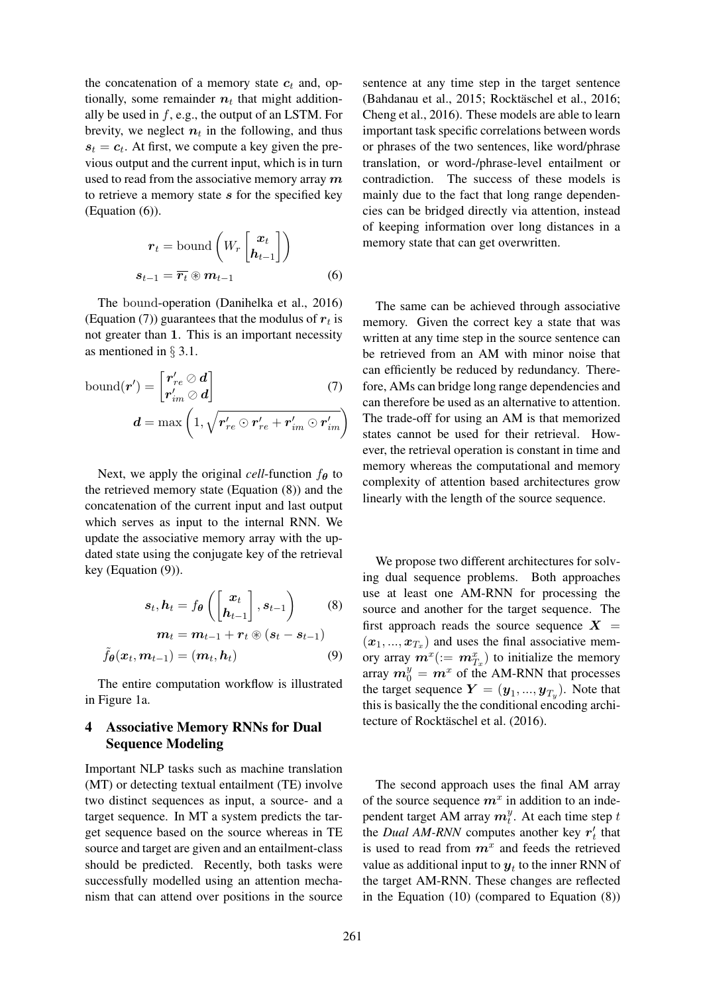the concatenation of a memory state  $c_t$  and, optionally, some remainder  $n_t$  that might additionally be used in  $f$ , e.g., the output of an LSTM. For brevity, we neglect  $n_t$  in the following, and thus  $s_t = c_t$ . At first, we compute a key given the previous output and the current input, which is in turn used to read from the associative memory array  $m$ to retrieve a memory state  $s$  for the specified key (Equation (6)).

$$
\boldsymbol{r}_{t} = \text{bound}\left(W_{r} \begin{bmatrix} \boldsymbol{x}_{t} \\ \boldsymbol{h}_{t-1} \end{bmatrix}\right)
$$

$$
\boldsymbol{s}_{t-1} = \overline{\boldsymbol{r}_{t}} \circledast \boldsymbol{m}_{t-1} \tag{6}
$$

The bound-operation (Danihelka et al., 2016) (Equation (7)) guarantees that the modulus of  $r_t$  is not greater than 1. This is an important necessity as mentioned in § 3.1.

$$
bound(\boldsymbol{r}') = \begin{bmatrix} \boldsymbol{r}'_{re} \oslash \boldsymbol{d} \\ \boldsymbol{r}'_{im} \oslash \boldsymbol{d} \end{bmatrix}
$$
(7)  

$$
\boldsymbol{d} = \max\left(1, \sqrt{\boldsymbol{r}'_{re} \odot \boldsymbol{r}'_{re} + \boldsymbol{r}'_{im} \odot \boldsymbol{r}'_{im}}\right)
$$

Next, we apply the original *cell*-function  $f_{\theta}$  to the retrieved memory state (Equation (8)) and the concatenation of the current input and last output which serves as input to the internal RNN. We update the associative memory array with the updated state using the conjugate key of the retrieval key (Equation (9)).

$$
s_{t}, h_{t} = f_{\theta} \left( \begin{bmatrix} x_{t} \\ h_{t-1} \end{bmatrix}, s_{t-1} \right) \qquad (8)
$$

$$
m_{t} = m_{t-1} + r_{t} \circledast (s_{t} - s_{t-1})
$$

$$
\tilde{f}_{\theta}(x_t, m_{t-1}) = (m_t, h_t) \tag{9}
$$

The entire computation workflow is illustrated in Figure 1a.

# 4 Associative Memory RNNs for Dual Sequence Modeling

Important NLP tasks such as machine translation (MT) or detecting textual entailment (TE) involve two distinct sequences as input, a source- and a target sequence. In MT a system predicts the target sequence based on the source whereas in TE source and target are given and an entailment-class should be predicted. Recently, both tasks were successfully modelled using an attention mechanism that can attend over positions in the source

sentence at any time step in the target sentence (Bahdanau et al., 2015; Rocktäschel et al., 2016; Cheng et al., 2016). These models are able to learn important task specific correlations between words or phrases of the two sentences, like word/phrase translation, or word-/phrase-level entailment or contradiction. The success of these models is mainly due to the fact that long range dependencies can be bridged directly via attention, instead of keeping information over long distances in a memory state that can get overwritten.

The same can be achieved through associative memory. Given the correct key a state that was written at any time step in the source sentence can be retrieved from an AM with minor noise that can efficiently be reduced by redundancy. Therefore, AMs can bridge long range dependencies and can therefore be used as an alternative to attention. The trade-off for using an AM is that memorized states cannot be used for their retrieval. However, the retrieval operation is constant in time and memory whereas the computational and memory complexity of attention based architectures grow linearly with the length of the source sequence.

We propose two different architectures for solving dual sequence problems. Both approaches use at least one AM-RNN for processing the source and another for the target sequence. The first approach reads the source sequence  $X =$  $(x_1, ..., x_{T_x})$  and uses the final associative memory array  $m^x (= m_{T_x}^x)$  to initialize the memory array  $m_0^y = m^x$  of the AM-RNN that processes the target sequence  $\boldsymbol{Y} = (\boldsymbol{y}_1, ..., \boldsymbol{y}_{T_y})$ . Note that this is basically the the conditional encoding architecture of Rocktäschel et al. (2016).

The second approach uses the final AM array of the source sequence  $m^x$  in addition to an independent target AM array  $m_t^y$ . At each time step t the *Dual AM-RNN* computes another key  $r'_t$  that is used to read from  $m^x$  and feeds the retrieved value as additional input to  $y_t$  to the inner RNN of the target AM-RNN. These changes are reflected in the Equation (10) (compared to Equation (8))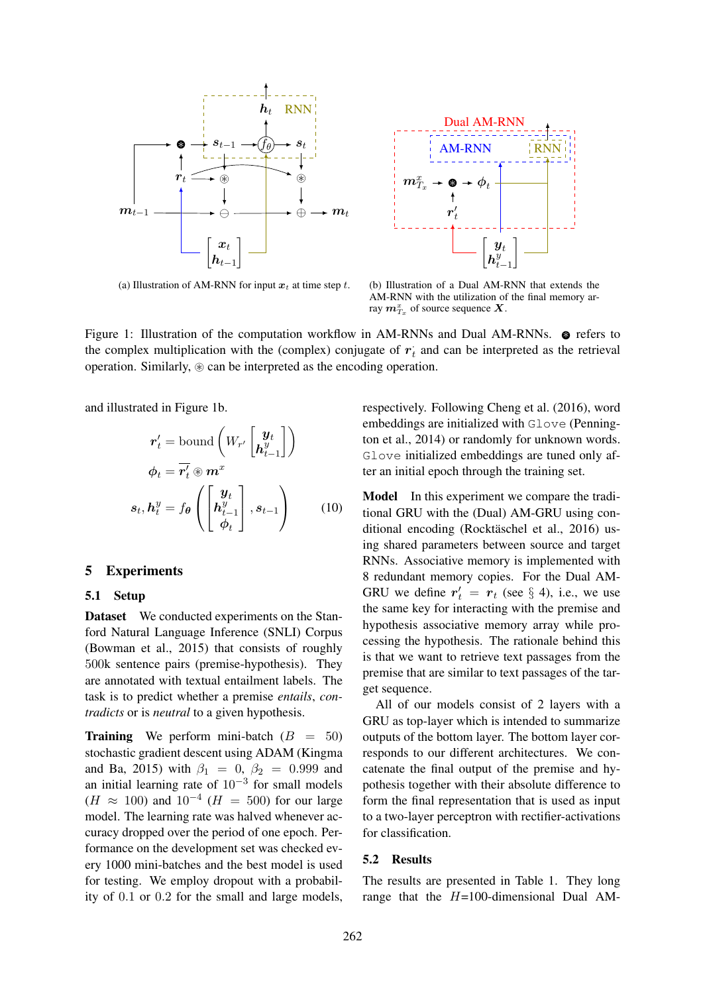

(a) Illustration of AM-RNN for input  $x_t$  at time step t.



(b) Illustration of a Dual AM-RNN that extends the AM-RNN with the utilization of the final memory array  $m_{T_x}^x$  of source sequence  $X$ .

Figure 1: Illustration of the computation workflow in AM-RNNs and Dual AM-RNNs. 
■ refers to the complex multiplication with the (complex) conjugate of  $r_t$  and can be interpreted as the retrieval operation. Similarly,  $\circledast$  can be interpreted as the encoding operation.

and illustrated in Figure 1b.

$$
\mathbf{r}'_t = \text{bound}\left(W_{r'}\begin{bmatrix} \mathbf{y}_t \\ \mathbf{h}^y_{t-1} \end{bmatrix}\right)
$$

$$
\boldsymbol{\phi}_t = \overline{\mathbf{r}'_t} \circledast \mathbf{m}^x
$$

$$
\mathbf{s}_t, \mathbf{h}^y_t = f_{\boldsymbol{\theta}}\left(\begin{bmatrix} \mathbf{y}_t \\ \mathbf{h}^y_{t-1} \\ \boldsymbol{\phi}_t \end{bmatrix}, \mathbf{s}_{t-1}\right) \qquad (10)
$$

#### 5 Experiments

#### 5.1 Setup

Dataset We conducted experiments on the Stanford Natural Language Inference (SNLI) Corpus (Bowman et al., 2015) that consists of roughly 500k sentence pairs (premise-hypothesis). They are annotated with textual entailment labels. The task is to predict whether a premise *entails*, *contradicts* or is *neutral* to a given hypothesis.

**Training** We perform mini-batch  $(B = 50)$ stochastic gradient descent using ADAM (Kingma and Ba, 2015) with  $\beta_1 = 0$ ,  $\beta_2 = 0.999$  and an initial learning rate of  $10^{-3}$  for small models  $(H \approx 100)$  and  $10^{-4}$   $(H = 500)$  for our large model. The learning rate was halved whenever accuracy dropped over the period of one epoch. Performance on the development set was checked every 1000 mini-batches and the best model is used for testing. We employ dropout with a probability of 0.1 or 0.2 for the small and large models,

respectively. Following Cheng et al. (2016), word embeddings are initialized with Glove (Pennington et al., 2014) or randomly for unknown words. Glove initialized embeddings are tuned only after an initial epoch through the training set.

Model In this experiment we compare the traditional GRU with the (Dual) AM-GRU using conditional encoding (Rocktäschel et al., 2016) using shared parameters between source and target RNNs. Associative memory is implemented with 8 redundant memory copies. For the Dual AM-GRU we define  $r'_t = r_t$  (see § 4), i.e., we use the same key for interacting with the premise and hypothesis associative memory array while processing the hypothesis. The rationale behind this is that we want to retrieve text passages from the premise that are similar to text passages of the target sequence.

All of our models consist of 2 layers with a GRU as top-layer which is intended to summarize outputs of the bottom layer. The bottom layer corresponds to our different architectures. We concatenate the final output of the premise and hypothesis together with their absolute difference to form the final representation that is used as input to a two-layer perceptron with rectifier-activations for classification.

#### 5.2 Results

The results are presented in Table 1. They long range that the  $H=100$ -dimensional Dual AM-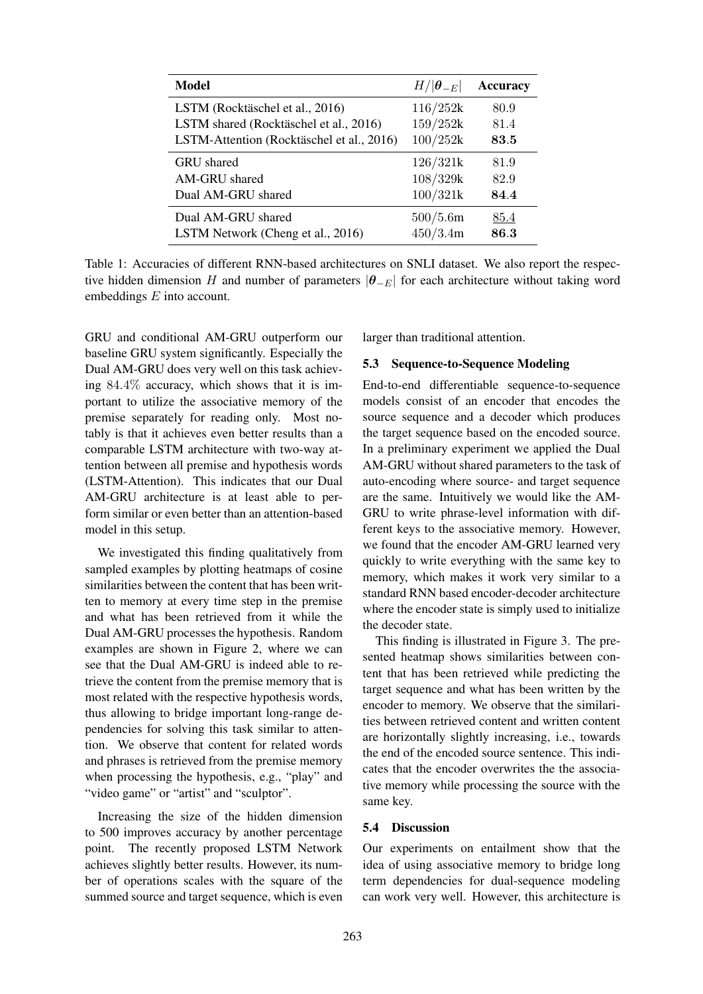| <b>Model</b>                              | $H/ \boldsymbol{\theta}_{-E} $ | <b>Accuracy</b> |
|-------------------------------------------|--------------------------------|-----------------|
| LSTM (Rocktäschel et al., 2016)           | 116/252k                       | 80.9            |
| LSTM shared (Rocktäschel et al., 2016)    | 159/252k                       | 81.4            |
| LSTM-Attention (Rocktäschel et al., 2016) | 100/252k                       | 83.5            |
| <b>GRU</b> shared                         | 126/321k                       | 81.9            |
| AM-GRU shared                             | 108/329k                       | 82.9            |
| Dual AM-GRU shared                        | 100/321k                       | 84.4            |
| Dual AM-GRU shared                        | 500/5.6m                       | 85.4            |
| LSTM Network (Cheng et al., 2016)         | 450/3.4m                       | 86.3            |

Table 1: Accuracies of different RNN-based architectures on SNLI dataset. We also report the respective hidden dimension H and number of parameters  $|\theta_{-E}|$  for each architecture without taking word embeddings E into account.

GRU and conditional AM-GRU outperform our baseline GRU system significantly. Especially the Dual AM-GRU does very well on this task achieving 84.4% accuracy, which shows that it is important to utilize the associative memory of the premise separately for reading only. Most notably is that it achieves even better results than a comparable LSTM architecture with two-way attention between all premise and hypothesis words (LSTM-Attention). This indicates that our Dual AM-GRU architecture is at least able to perform similar or even better than an attention-based model in this setup.

We investigated this finding qualitatively from sampled examples by plotting heatmaps of cosine similarities between the content that has been written to memory at every time step in the premise and what has been retrieved from it while the Dual AM-GRU processes the hypothesis. Random examples are shown in Figure 2, where we can see that the Dual AM-GRU is indeed able to retrieve the content from the premise memory that is most related with the respective hypothesis words, thus allowing to bridge important long-range dependencies for solving this task similar to attention. We observe that content for related words and phrases is retrieved from the premise memory when processing the hypothesis, e.g., "play" and "video game" or "artist" and "sculptor".

Increasing the size of the hidden dimension to 500 improves accuracy by another percentage point. The recently proposed LSTM Network achieves slightly better results. However, its number of operations scales with the square of the summed source and target sequence, which is even

larger than traditional attention.

#### 5.3 Sequence-to-Sequence Modeling

End-to-end differentiable sequence-to-sequence models consist of an encoder that encodes the source sequence and a decoder which produces the target sequence based on the encoded source. In a preliminary experiment we applied the Dual AM-GRU without shared parameters to the task of auto-encoding where source- and target sequence are the same. Intuitively we would like the AM-GRU to write phrase-level information with different keys to the associative memory. However, we found that the encoder AM-GRU learned very quickly to write everything with the same key to memory, which makes it work very similar to a standard RNN based encoder-decoder architecture where the encoder state is simply used to initialize the decoder state.

This finding is illustrated in Figure 3. The presented heatmap shows similarities between content that has been retrieved while predicting the target sequence and what has been written by the encoder to memory. We observe that the similarities between retrieved content and written content are horizontally slightly increasing, i.e., towards the end of the encoded source sentence. This indicates that the encoder overwrites the the associative memory while processing the source with the same key.

#### 5.4 Discussion

Our experiments on entailment show that the idea of using associative memory to bridge long term dependencies for dual-sequence modeling can work very well. However, this architecture is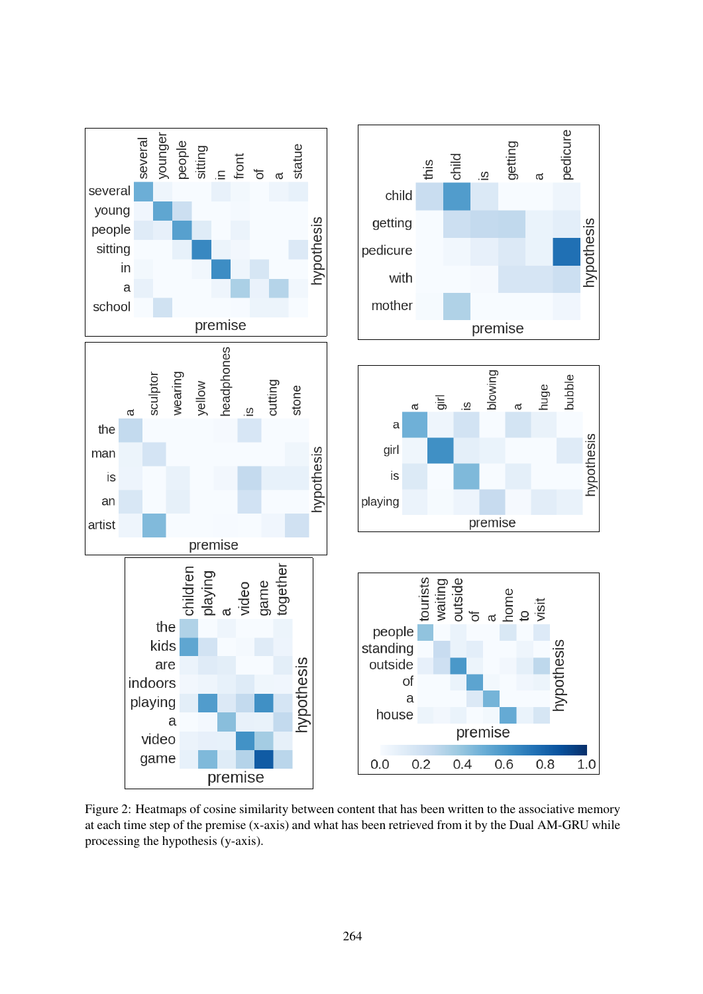

Figure 2: Heatmaps of cosine similarity between content that has been written to the associative memory at each time step of the premise (x-axis) and what has been retrieved from it by the Dual AM-GRU while processing the hypothesis (y-axis).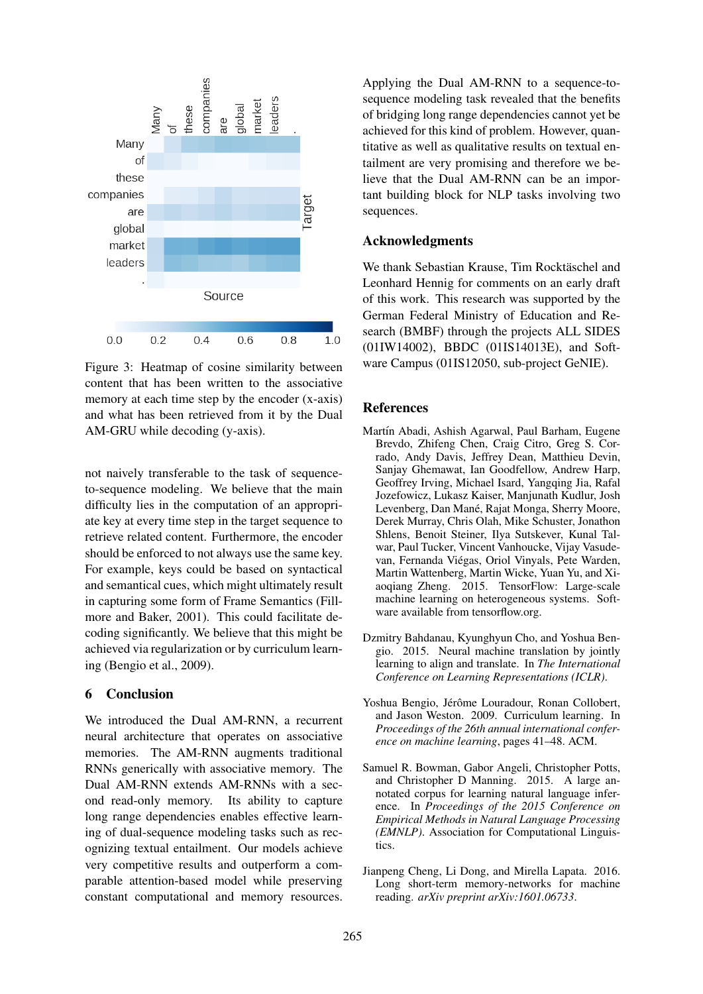

Figure 3: Heatmap of cosine similarity between content that has been written to the associative memory at each time step by the encoder (x-axis) and what has been retrieved from it by the Dual AM-GRU while decoding (y-axis).

not naively transferable to the task of sequenceto-sequence modeling. We believe that the main difficulty lies in the computation of an appropriate key at every time step in the target sequence to retrieve related content. Furthermore, the encoder should be enforced to not always use the same key. For example, keys could be based on syntactical and semantical cues, which might ultimately result in capturing some form of Frame Semantics (Fillmore and Baker, 2001). This could facilitate decoding significantly. We believe that this might be achieved via regularization or by curriculum learning (Bengio et al., 2009).

## 6 Conclusion

We introduced the Dual AM-RNN, a recurrent neural architecture that operates on associative memories. The AM-RNN augments traditional RNNs generically with associative memory. The Dual AM-RNN extends AM-RNNs with a second read-only memory. Its ability to capture long range dependencies enables effective learning of dual-sequence modeling tasks such as recognizing textual entailment. Our models achieve very competitive results and outperform a comparable attention-based model while preserving constant computational and memory resources.

Applying the Dual AM-RNN to a sequence-tosequence modeling task revealed that the benefits of bridging long range dependencies cannot yet be achieved for this kind of problem. However, quantitative as well as qualitative results on textual entailment are very promising and therefore we believe that the Dual AM-RNN can be an important building block for NLP tasks involving two sequences.

### Acknowledgments

We thank Sebastian Krause, Tim Rocktäschel and Leonhard Hennig for comments on an early draft of this work. This research was supported by the German Federal Ministry of Education and Research (BMBF) through the projects ALL SIDES (01IW14002), BBDC (01IS14013E), and Software Campus (01IS12050, sub-project GeNIE).

# References

- Martín Abadi, Ashish Agarwal, Paul Barham, Eugene Brevdo, Zhifeng Chen, Craig Citro, Greg S. Corrado, Andy Davis, Jeffrey Dean, Matthieu Devin, Sanjay Ghemawat, Ian Goodfellow, Andrew Harp, Geoffrey Irving, Michael Isard, Yangqing Jia, Rafal Jozefowicz, Lukasz Kaiser, Manjunath Kudlur, Josh Levenberg, Dan Mané, Rajat Monga, Sherry Moore, Derek Murray, Chris Olah, Mike Schuster, Jonathon Shlens, Benoit Steiner, Ilya Sutskever, Kunal Talwar, Paul Tucker, Vincent Vanhoucke, Vijay Vasudevan, Fernanda Viegas, Oriol Vinyals, Pete Warden, ´ Martin Wattenberg, Martin Wicke, Yuan Yu, and Xiaoqiang Zheng. 2015. TensorFlow: Large-scale machine learning on heterogeneous systems. Software available from tensorflow.org.
- Dzmitry Bahdanau, Kyunghyun Cho, and Yoshua Bengio. 2015. Neural machine translation by jointly learning to align and translate. In *The International Conference on Learning Representations (ICLR)*.
- Yoshua Bengio, Jérôme Louradour, Ronan Collobert, and Jason Weston. 2009. Curriculum learning. In *Proceedings of the 26th annual international conference on machine learning*, pages 41–48. ACM.
- Samuel R. Bowman, Gabor Angeli, Christopher Potts, and Christopher D Manning. 2015. A large annotated corpus for learning natural language inference. In *Proceedings of the 2015 Conference on Empirical Methods in Natural Language Processing (EMNLP)*. Association for Computational Linguistics.
- Jianpeng Cheng, Li Dong, and Mirella Lapata. 2016. Long short-term memory-networks for machine reading. *arXiv preprint arXiv:1601.06733*.